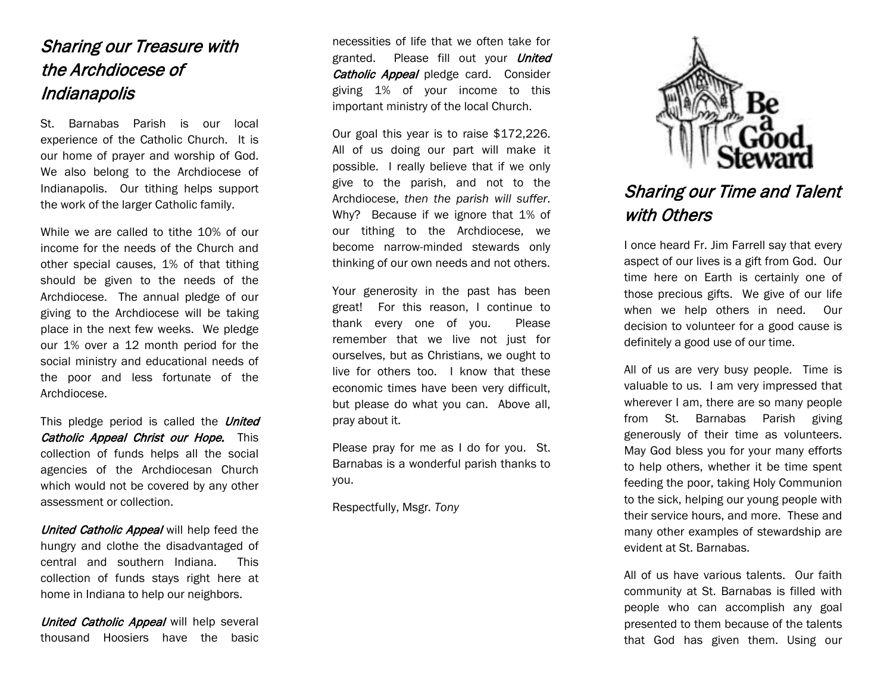## Sharing our Treasure with the Archdiocese of Indianapolis

St. Barnabas Parish is our local experience of the Catholic Church. It is our home of prayer and worship of God. We also belong to the Archdiocese of Indianapolis. Our tithing helps support the work of the larger Catholic family.

While we are called to tithe 10% of our income for the needs of the Church and other special causes, 1% of that tithing should be given to the needs of the Archdiocese. The annual pledge of our giving to the Archdiocese will be taking place in the next few weeks. We pledge our 1% over a 12 month period for the social ministry and educational needs of the poor and less fortunate of the Archdiocese.

This pledge period is called the *United* Catholic Appeal Christ our Hope. This collection of funds helps all the social agencies of the Archdiocesan Church which would not be covered by any other assessment or collection.

United Catholic Appeal will help feed the hungry and clothe the disadvantaged of central and southern Indiana. This collection of funds stays right here at home in Indiana to help our neighbors.

United Catholic Appeal will help several thousand Hoosiers have the basic necessities of life that we often take for granted. Please fill out your *United* Catholic Appeal pledge card. Consider giving 1% of your income to this important ministry of the local Church.

Our goal this year is to raise \$172,226. All of us doing our part will make it possible. I really believe that if we only give to the parish, and not to the Archdiocese, *then the parish will suffer*. Why? Because if we ignore that 1% of our tithing to the Archdiocese, we become narrow-minded stewards only thinking of our own needs and not others.

Your generosity in the past has been great! For this reason, I continue to thank every one of you. Please remember that we live not just for ourselves, but as Christians, we ought to live for others too. I know that these economic times have been very difficult, but please do what you can. Above all, pray about it.

Please pray for me as I do for you. St. Barnabas is a wonderful parish thanks to you.

Respectfully, Msgr*. Tony*



## Sharing our Time and Talent with Others

I once heard Fr. Jim Farrell say that every aspect of our lives is a gift from God. Our time here on Earth is certainly one of those precious gifts. We give of our life when we help others in need. Our decision to volunteer for a good cause is definitely a good use of our time.

All of us are very busy people. Time is valuable to us. I am very impressed that wherever I am, there are so many people from St. Barnabas Parish giving generously of their time as volunteers. May God bless you for your many efforts to help others, whether it be time spent feeding the poor, taking Holy Communion to the sick, helping our young people with their service hours, and more. These and many other examples of stewardship are evident at St. Barnabas.

All of us have various talents. Our faith community at St. Barnabas is filled with people who can accomplish any goal presented to them because of the talents that God has given them. Using our